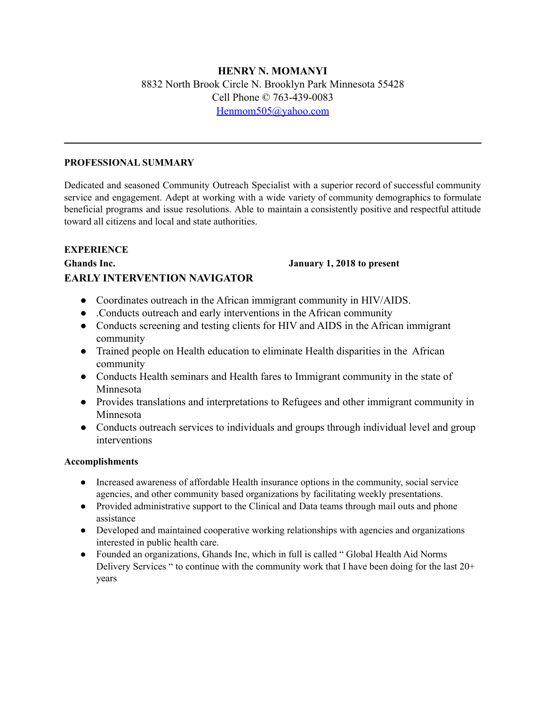# **HENRY N. MOMANYI** 8832 North Brook Circle N. Brooklyn Park Minnesota 55428 Cell Phone © 763-439-0083 [Henmom505@yahoo.com](mailto:Henmom505@yahoo.com)

#### **PROFESSIONAL SUMMARY**

Dedicated and seasoned Community Outreach Specialist with a superior record of successful community service and engagement. Adept at working with a wide variety of community demographics to formulate beneficial programs and issue resolutions. Able to maintain a consistently positive and respectful attitude toward all citizens and local and state authorities.

#### **EXPERIENCE**

## **Ghands Inc. January 1, 2018 to present EARLY INTERVENTION NAVIGATOR**

- Coordinates outreach in the African immigrant community in HIV/AIDS.
- .Conducts outreach and early interventions in the African community
- Conducts screening and testing clients for HIV and AIDS in the African immigrant community
- Trained people on Health education to eliminate Health disparities in the African community
- Conducts Health seminars and Health fares to Immigrant community in the state of Minnesota
- Provides translations and interpretations to Refugees and other immigrant community in Minnesota
- Conducts outreach services to individuals and groups through individual level and group interventions

## **Accomplishments**

- Increased awareness of affordable Health insurance options in the community, social service agencies, and other community based organizations by facilitating weekly presentations.
- Provided administrative support to the Clinical and Data teams through mail outs and phone assistance
- Developed and maintained cooperative working relationships with agencies and organizations interested in public health care.
- Founded an organizations, Ghands Inc, which in full is called " Global Health Aid Norms Delivery Services " to continue with the community work that I have been doing for the last 20+ years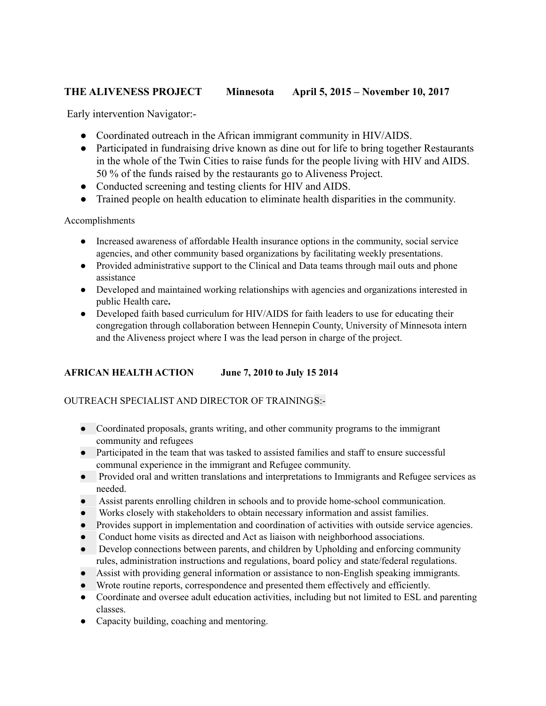## **THE ALIVENESS PROJECT Minnesota April 5, 2015 – November 10, 2017**

Early intervention Navigator:-

- Coordinated outreach in the African immigrant community in HIV/AIDS.
- Participated in fundraising drive known as dine out for life to bring together Restaurants in the whole of the Twin Cities to raise funds for the people living with HIV and AIDS. 50 % of the funds raised by the restaurants go to Aliveness Project.
- Conducted screening and testing clients for HIV and AIDS.
- Trained people on health education to eliminate health disparities in the community.

## Accomplishments

- Increased awareness of affordable Health insurance options in the community, social service agencies, and other community based organizations by facilitating weekly presentations.
- Provided administrative support to the Clinical and Data teams through mail outs and phone assistance
- Developed and maintained working relationships with agencies and organizations interested in public Health care**.**
- Developed faith based curriculum for HIV/AIDS for faith leaders to use for educating their congregation through collaboration between Hennepin County, University of Minnesota intern and the Aliveness project where I was the lead person in charge of the project.

## **AFRICAN HEALTH ACTION June 7, 2010 to July 15 2014**

## OUTREACH SPECIALIST AND DIRECTOR OF TRAININGS:-

- Coordinated proposals, grants writing, and other community programs to the immigrant community and refugees
- Participated in the team that was tasked to assisted families and staff to ensure successful communal experience in the immigrant and Refugee community.
- Provided oral and written translations and interpretations to Immigrants and Refugee services as needed.
- Assist parents enrolling children in schools and to provide home-school communication.
- Works closely with stakeholders to obtain necessary information and assist families.
- Provides support in implementation and coordination of activities with outside service agencies.
- Conduct home visits as directed and Act as liaison with neighborhood associations.
- Develop connections between parents, and children by Upholding and enforcing community rules, administration instructions and regulations, board policy and state/federal regulations.
- Assist with providing general information or assistance to non-English speaking immigrants.
- Wrote routine reports, correspondence and presented them effectively and efficiently.
- Coordinate and oversee adult education activities, including but not limited to ESL and parenting classes.
- Capacity building, coaching and mentoring.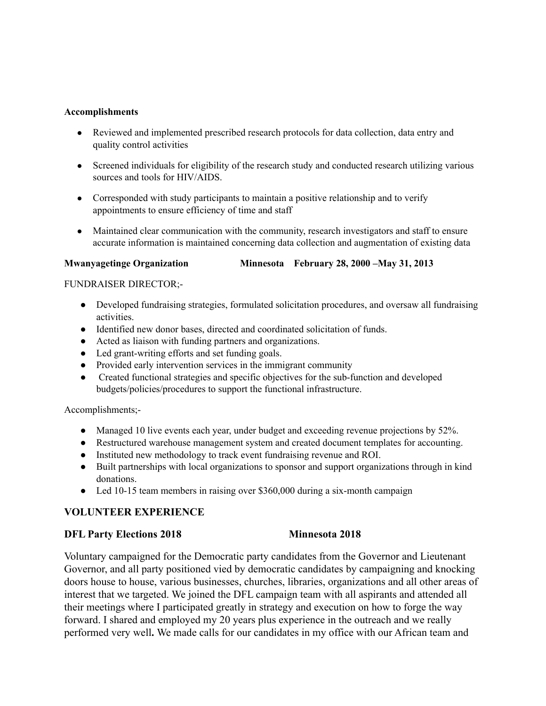#### **Accomplishments**

- Reviewed and implemented prescribed research protocols for data collection, data entry and quality control activities
- Screened individuals for eligibility of the research study and conducted research utilizing various sources and tools for HIV/AIDS.
- Corresponded with study participants to maintain a positive relationship and to verify appointments to ensure efficiency of time and staff
- Maintained clear communication with the community, research investigators and staff to ensure accurate information is maintained concerning data collection and augmentation of existing data

#### **Mwanyagetinge Organization Minnesota February 28, 2000 –May 31, 2013**

#### FUNDRAISER DIRECTOR;-

- Developed fundraising strategies, formulated solicitation procedures, and oversaw all fundraising activities.
- Identified new donor bases, directed and coordinated solicitation of funds.
- Acted as liaison with funding partners and organizations.
- Led grant-writing efforts and set funding goals.
- Provided early intervention services in the immigrant community
- Created functional strategies and specific objectives for the sub-function and developed budgets/policies/procedures to support the functional infrastructure.

Accomplishments;-

- Managed 10 live events each year, under budget and exceeding revenue projections by 52%.
- Restructured warehouse management system and created document templates for accounting.
- Instituted new methodology to track event fundraising revenue and ROI.
- Built partnerships with local organizations to sponsor and support organizations through in kind donations.
- Led 10-15 team members in raising over \$360,000 during a six-month campaign

## **VOLUNTEER EXPERIENCE**

## **DFL Party Elections 2018 Minnesota 2018**

Voluntary campaigned for the Democratic party candidates from the Governor and Lieutenant Governor, and all party positioned vied by democratic candidates by campaigning and knocking doors house to house, various businesses, churches, libraries, organizations and all other areas of interest that we targeted. We joined the DFL campaign team with all aspirants and attended all their meetings where I participated greatly in strategy and execution on how to forge the way forward. I shared and employed my 20 years plus experience in the outreach and we really performed very well**.** We made calls for our candidates in my office with our African team and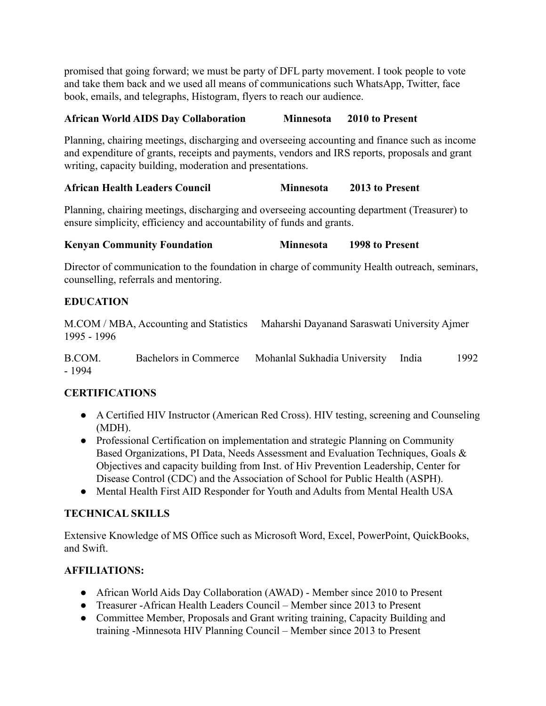promised that going forward; we must be party of DFL party movement. I took people to vote and take them back and we used all means of communications such WhatsApp, Twitter, face book, emails, and telegraphs, Histogram, flyers to reach our audience.

# **African World AIDS Day Collaboration Minnesota 2010 to Present**

Planning, chairing meetings, discharging and overseeing accounting and finance such as income and expenditure of grants, receipts and payments, vendors and IRS reports, proposals and grant writing, capacity building, moderation and presentations.

**African Health Leaders Council Minnesota 2013 to Present**

Planning, chairing meetings, discharging and overseeing accounting department (Treasurer) to ensure simplicity, efficiency and accountability of funds and grants.

## **Kenyan Community Foundation Minnesota 1998 to Present**

Director of communication to the foundation in charge of community Health outreach, seminars, counselling, referrals and mentoring.

# **EDUCATION**

M.COM / MBA, Accounting and Statistics Maharshi Dayanand Saraswati University Ajmer 1995 - 1996

B.COM. Bachelors in Commerce Mohanlal Sukhadia University India 1992 - 1994

# **CERTIFICATIONS**

- A Certified HIV Instructor (American Red Cross). HIV testing, screening and Counseling (MDH).
- Professional Certification on implementation and strategic Planning on Community Based Organizations, PI Data, Needs Assessment and Evaluation Techniques, Goals & Objectives and capacity building from Inst. of Hiv Prevention Leadership, Center for Disease Control (CDC) and the Association of School for Public Health (ASPH).
- Mental Health First AID Responder for Youth and Adults from Mental Health USA

# **TECHNICAL SKILLS**

Extensive Knowledge of MS Office such as Microsoft Word, Excel, PowerPoint, QuickBooks, and Swift.

# **AFFILIATIONS:**

- African World Aids Day Collaboration (AWAD) Member since 2010 to Present
- Treasurer -African Health Leaders Council Member since 2013 to Present
- Committee Member, Proposals and Grant writing training, Capacity Building and training -Minnesota HIV Planning Council – Member since 2013 to Present